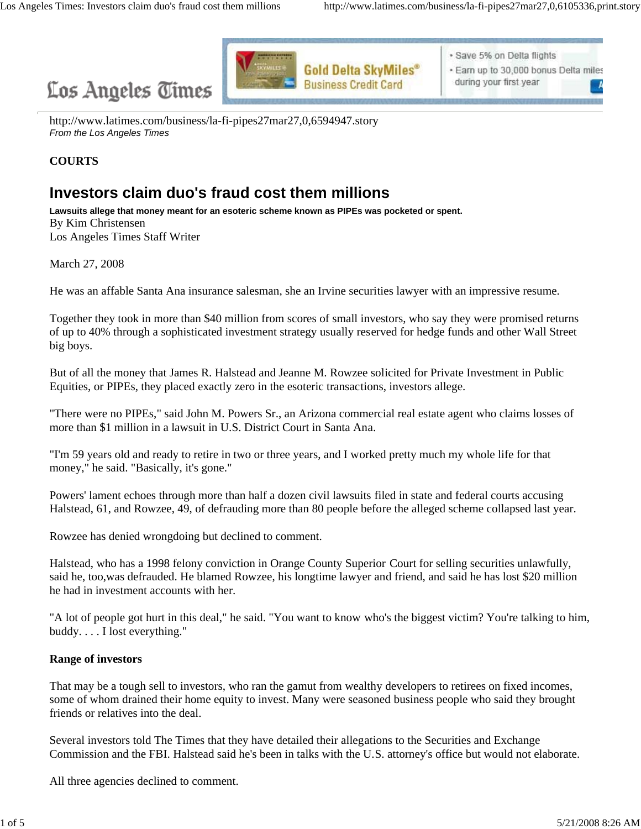

**Gold Delta SkyMiles® Business Credit Card** 

· Save 5% on Delta flights

· Earn up to 30,000 bonus Delta miles during your first year

http://www.latimes.com/business/la-fi-pipes27mar27,0,6594947.story *From the Los Angeles Times*

## **COURTS**

# **Investors claim duo's fraud cost them millions**

**Lawsuits allege that money meant for an esoteric scheme known as PIPEs was pocketed or spent.** By Kim Christensen Los Angeles Times Staff Writer

March 27, 2008

He was an affable Santa Ana insurance salesman, she an Irvine securities lawyer with an impressive resume.

Together they took in more than \$40 million from scores of small investors, who say they were promised returns of up to 40% through a sophisticated investment strategy usually reserved for hedge funds and other Wall Street big boys.

But of all the money that James R. Halstead and Jeanne M. Rowzee solicited for Private Investment in Public Equities, or PIPEs, they placed exactly zero in the esoteric transactions, investors allege.

"There were no PIPEs," said John M. Powers Sr., an Arizona commercial real estate agent who claims losses of more than \$1 million in a lawsuit in U.S. District Court in Santa Ana.

"I'm 59 years old and ready to retire in two or three years, and I worked pretty much my whole life for that money," he said. "Basically, it's gone."

Powers' lament echoes through more than half a dozen civil lawsuits filed in state and federal courts accusing Halstead, 61, and Rowzee, 49, of defrauding more than 80 people before the alleged scheme collapsed last year.

Rowzee has denied wrongdoing but declined to comment.

Halstead, who has a 1998 felony conviction in Orange County Superior Court for selling securities unlawfully, said he, too,was defrauded. He blamed Rowzee, his longtime lawyer and friend, and said he has lost \$20 million he had in investment accounts with her.

"A lot of people got hurt in this deal," he said. "You want to know who's the biggest victim? You're talking to him, buddy. . . . I lost everything."

## **Range of investors**

That may be a tough sell to investors, who ran the gamut from wealthy developers to retirees on fixed incomes, some of whom drained their home equity to invest. Many were seasoned business people who said they brought friends or relatives into the deal.

Several investors told The Times that they have detailed their allegations to the Securities and Exchange Commission and the FBI. Halstead said he's been in talks with the U.S. attorney's office but would not elaborate.

All three agencies declined to comment.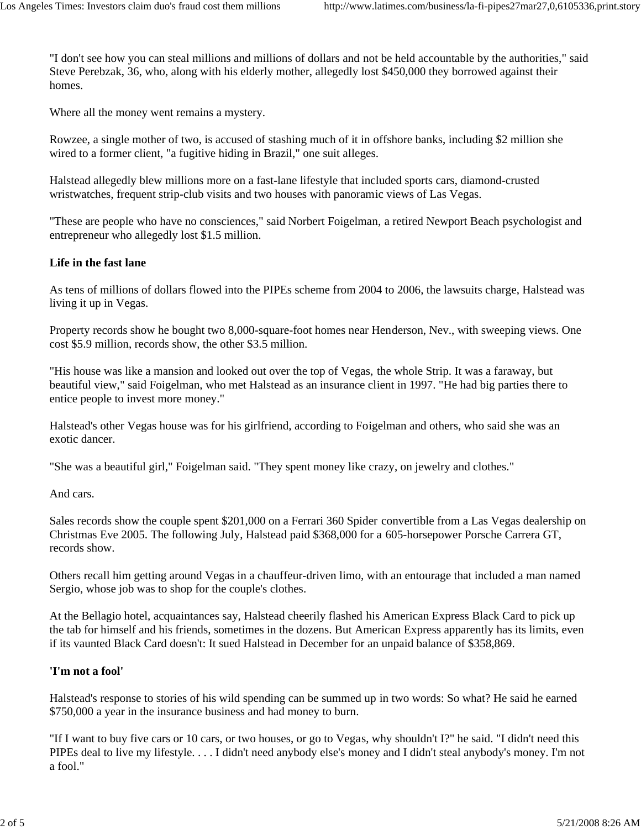"I don't see how you can steal millions and millions of dollars and not be held accountable by the authorities," said Steve Perebzak, 36, who, along with his elderly mother, allegedly lost \$450,000 they borrowed against their homes.

Where all the money went remains a mystery.

Rowzee, a single mother of two, is accused of stashing much of it in offshore banks, including \$2 million she wired to a former client, "a fugitive hiding in Brazil," one suit alleges.

Halstead allegedly blew millions more on a fast-lane lifestyle that included sports cars, diamond-crusted wristwatches, frequent strip-club visits and two houses with panoramic views of Las Vegas.

"These are people who have no consciences," said Norbert Foigelman, a retired Newport Beach psychologist and entrepreneur who allegedly lost \$1.5 million.

## **Life in the fast lane**

As tens of millions of dollars flowed into the PIPEs scheme from 2004 to 2006, the lawsuits charge, Halstead was living it up in Vegas.

Property records show he bought two 8,000-square-foot homes near Henderson, Nev., with sweeping views. One cost \$5.9 million, records show, the other \$3.5 million.

"His house was like a mansion and looked out over the top of Vegas, the whole Strip. It was a faraway, but beautiful view," said Foigelman, who met Halstead as an insurance client in 1997. "He had big parties there to entice people to invest more money."

Halstead's other Vegas house was for his girlfriend, according to Foigelman and others, who said she was an exotic dancer.

"She was a beautiful girl," Foigelman said. "They spent money like crazy, on jewelry and clothes."

And cars.

Sales records show the couple spent \$201,000 on a Ferrari 360 Spider convertible from a Las Vegas dealership on Christmas Eve 2005. The following July, Halstead paid \$368,000 for a 605-horsepower Porsche Carrera GT, records show.

Others recall him getting around Vegas in a chauffeur-driven limo, with an entourage that included a man named Sergio, whose job was to shop for the couple's clothes.

At the Bellagio hotel, acquaintances say, Halstead cheerily flashed his American Express Black Card to pick up the tab for himself and his friends, sometimes in the dozens. But American Express apparently has its limits, even if its vaunted Black Card doesn't: It sued Halstead in December for an unpaid balance of \$358,869.

## **'I'm not a fool'**

Halstead's response to stories of his wild spending can be summed up in two words: So what? He said he earned \$750,000 a year in the insurance business and had money to burn.

"If I want to buy five cars or 10 cars, or two houses, or go to Vegas, why shouldn't I?" he said. "I didn't need this PIPEs deal to live my lifestyle. . . . I didn't need anybody else's money and I didn't steal anybody's money. I'm not a fool."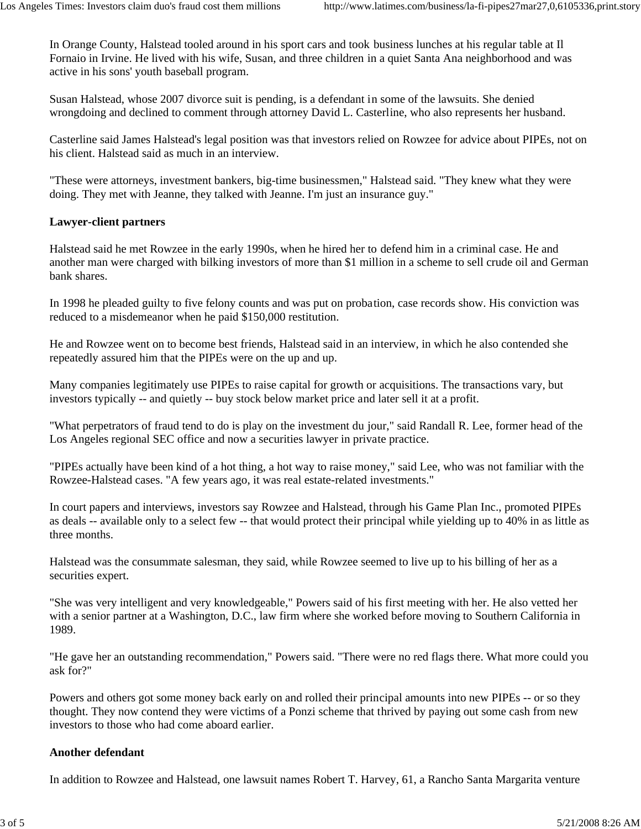In Orange County, Halstead tooled around in his sport cars and took business lunches at his regular table at Il Fornaio in Irvine. He lived with his wife, Susan, and three children in a quiet Santa Ana neighborhood and was active in his sons' youth baseball program.

Susan Halstead, whose 2007 divorce suit is pending, is a defendant in some of the lawsuits. She denied wrongdoing and declined to comment through attorney David L. Casterline, who also represents her husband.

Casterline said James Halstead's legal position was that investors relied on Rowzee for advice about PIPEs, not on his client. Halstead said as much in an interview.

"These were attorneys, investment bankers, big-time businessmen," Halstead said. "They knew what they were doing. They met with Jeanne, they talked with Jeanne. I'm just an insurance guy."

#### **Lawyer-client partners**

Halstead said he met Rowzee in the early 1990s, when he hired her to defend him in a criminal case. He and another man were charged with bilking investors of more than \$1 million in a scheme to sell crude oil and German bank shares.

In 1998 he pleaded guilty to five felony counts and was put on probation, case records show. His conviction was reduced to a misdemeanor when he paid \$150,000 restitution.

He and Rowzee went on to become best friends, Halstead said in an interview, in which he also contended she repeatedly assured him that the PIPEs were on the up and up.

Many companies legitimately use PIPEs to raise capital for growth or acquisitions. The transactions vary, but investors typically -- and quietly -- buy stock below market price and later sell it at a profit.

"What perpetrators of fraud tend to do is play on the investment du jour," said Randall R. Lee, former head of the Los Angeles regional SEC office and now a securities lawyer in private practice.

"PIPEs actually have been kind of a hot thing, a hot way to raise money," said Lee, who was not familiar with the Rowzee-Halstead cases. "A few years ago, it was real estate-related investments."

In court papers and interviews, investors say Rowzee and Halstead, through his Game Plan Inc., promoted PIPEs as deals -- available only to a select few -- that would protect their principal while yielding up to 40% in as little as three months.

Halstead was the consummate salesman, they said, while Rowzee seemed to live up to his billing of her as a securities expert.

"She was very intelligent and very knowledgeable," Powers said of his first meeting with her. He also vetted her with a senior partner at a Washington, D.C., law firm where she worked before moving to Southern California in 1989.

"He gave her an outstanding recommendation," Powers said. "There were no red flags there. What more could you ask for?"

Powers and others got some money back early on and rolled their principal amounts into new PIPEs -- or so they thought. They now contend they were victims of a Ponzi scheme that thrived by paying out some cash from new investors to those who had come aboard earlier.

#### **Another defendant**

In addition to Rowzee and Halstead, one lawsuit names Robert T. Harvey, 61, a Rancho Santa Margarita venture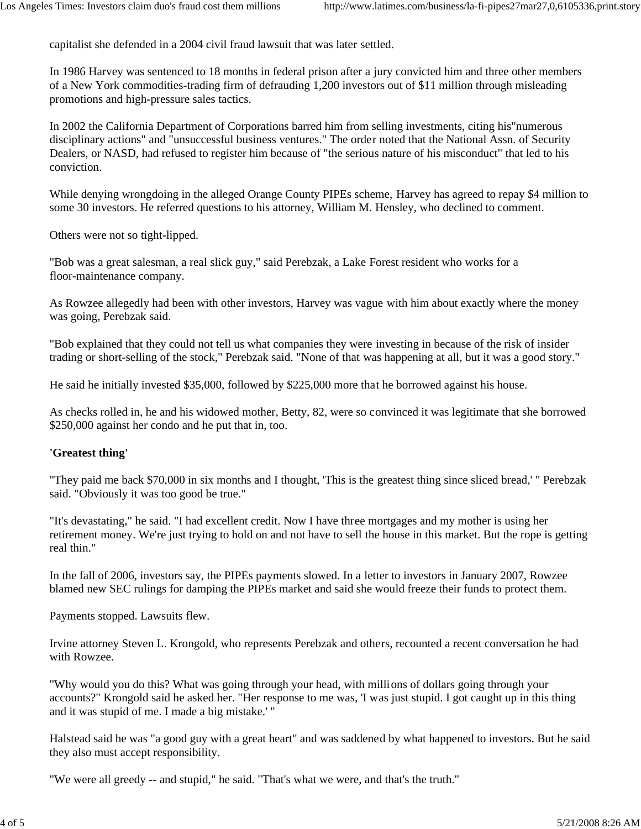capitalist she defended in a 2004 civil fraud lawsuit that was later settled.

In 1986 Harvey was sentenced to 18 months in federal prison after a jury convicted him and three other members of a New York commodities-trading firm of defrauding 1,200 investors out of \$11 million through misleading promotions and high-pressure sales tactics.

In 2002 the California Department of Corporations barred him from selling investments, citing his"numerous disciplinary actions" and "unsuccessful business ventures." The order noted that the National Assn. of Security Dealers, or NASD, had refused to register him because of "the serious nature of his misconduct" that led to his conviction.

While denying wrongdoing in the alleged Orange County PIPEs scheme, Harvey has agreed to repay \$4 million to some 30 investors. He referred questions to his attorney, William M. Hensley, who declined to comment.

Others were not so tight-lipped.

"Bob was a great salesman, a real slick guy," said Perebzak, a Lake Forest resident who works for a floor-maintenance company.

As Rowzee allegedly had been with other investors, Harvey was vague with him about exactly where the money was going, Perebzak said.

"Bob explained that they could not tell us what companies they were investing in because of the risk of insider trading or short-selling of the stock," Perebzak said. "None of that was happening at all, but it was a good story."

He said he initially invested \$35,000, followed by \$225,000 more that he borrowed against his house.

As checks rolled in, he and his widowed mother, Betty, 82, were so convinced it was legitimate that she borrowed \$250,000 against her condo and he put that in, too.

#### **'Greatest thing'**

"They paid me back \$70,000 in six months and I thought, 'This is the greatest thing since sliced bread,' " Perebzak said. "Obviously it was too good be true."

"It's devastating," he said. "I had excellent credit. Now I have three mortgages and my mother is using her retirement money. We're just trying to hold on and not have to sell the house in this market. But the rope is getting real thin."

In the fall of 2006, investors say, the PIPEs payments slowed. In a letter to investors in January 2007, Rowzee blamed new SEC rulings for damping the PIPEs market and said she would freeze their funds to protect them.

Payments stopped. Lawsuits flew.

Irvine attorney Steven L. Krongold, who represents Perebzak and others, recounted a recent conversation he had with Rowzee.

"Why would you do this? What was going through your head, with millions of dollars going through your accounts?" Krongold said he asked her. "Her response to me was, 'I was just stupid. I got caught up in this thing and it was stupid of me. I made a big mistake.' "

Halstead said he was "a good guy with a great heart" and was saddened by what happened to investors. But he said they also must accept responsibility.

"We were all greedy -- and stupid," he said. "That's what we were, and that's the truth."